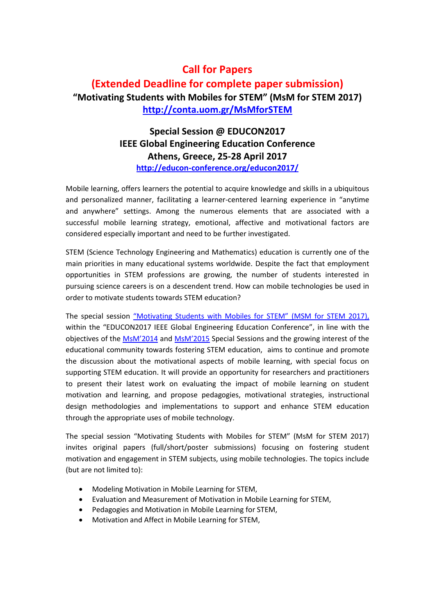# **Call for Papers (Extended Deadline for complete paper submission) "Motivating Students with Mobiles for STEM" (MsM for STEM 2017) <http://conta.uom.gr/MsMforSTEM>**

## **Special Session @ EDUCON2017 IEEE Global Engineering Education Conference Athens, Greece, 25-28 April 2017 <http://educon-conference.org/educon2017/>**

Mobile learning, offers learners the potential to acquire knowledge and skills in a ubiquitous and personalized manner, facilitating a learner-centered learning experience in "anytime and anywhere" settings. Among the numerous elements that are associated with a successful mobile learning strategy, emotional, affective and motivational factors are considered especially important and need to be further investigated.

STEM (Science Technology Engineering and Mathematics) education is currently one of the main priorities in many educational systems worldwide. Despite the fact that employment opportunities in STEM professions are growing, the number of students interested in pursuing science careers is on a descendent trend. How can mobile technologies be used in order to motivate students towards STEM education?

The special session "Motivating [Students with Mobiles](http://conta.uom.gr/MsMforSTEM/index.html) for STEM" (MSM for STEM 2017), within the "EDUCON2017 IEEE Global Engineering Education Conference", in line with the objectives of the [MsM'](http://www.imcl-conference.org/imcl2014/msm.php)2014 and [MsM'2015](http://conta.uom.gr/MsM/) Special Sessions and the growing interest of the educational community towards fostering STEM education, aims to continue and promote the discussion about the motivational aspects of mobile learning, with special focus on supporting STEM education. It will provide an opportunity for researchers and practitioners to present their latest work on evaluating the impact of mobile learning on student motivation and learning, and propose pedagogies, motivational strategies, instructional design methodologies and implementations to support and enhance STEM education through the appropriate uses of mobile technology.

The special session "Motivating Students with Mobiles for STEM" (MsM for STEM 2017) invites original papers (full/short/poster submissions) focusing on fostering student motivation and engagement in STEM subjects, using mobile technologies. The topics include (but are not limited to):

- Modeling Motivation in Mobile Learning for STEM,
- Evaluation and Measurement of Motivation in Mobile Learning for STEM,
- Pedagogies and Motivation in Mobile Learning for STEM,
- Motivation and Affect in Mobile Learning for STEM,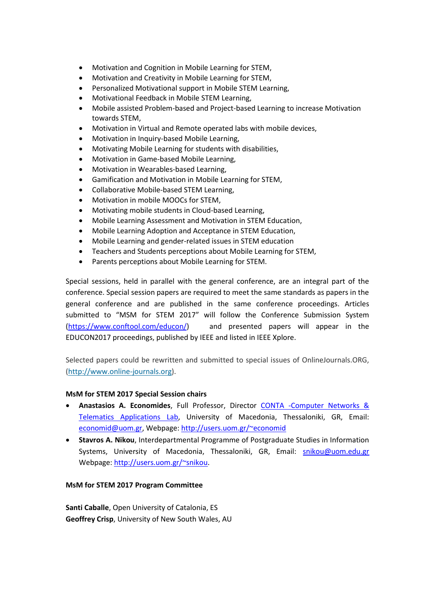- Motivation and Cognition in Mobile Learning for STEM,
- Motivation and Creativity in Mobile Learning for STEM,
- Personalized Motivational support in Mobile STEM Learning,
- Motivational Feedback in Mobile STEM Learning,
- Mobile assisted Problem-based and Project-based Learning to increase Motivation towards STEM,
- Motivation in Virtual and Remote operated labs with mobile devices,
- Motivation in Inquiry-based Mobile Learning,
- Motivating Mobile Learning for students with disabilities,
- Motivation in Game-based Mobile Learning,
- Motivation in Wearables-based Learning,
- Gamification and Motivation in Mobile Learning for STEM,
- Collaborative Mobile-based STEM Learning,
- Motivation in mobile MOOCs for STEM,
- Motivating mobile students in Cloud-based Learning,
- Mobile Learning Assessment and Motivation in STEM Education,
- Mobile Learning Adoption and Acceptance in STEM Education,
- Mobile Learning and gender-related issues in STEM education
- Teachers and Students perceptions about Mobile Learning for STEM,
- Parents perceptions about Mobile Learning for STEM.

Special sessions, held in parallel with the general conference, are an integral part of the conference. Special session papers are required to meet the same standards as papers in the general conference and are published in the same conference proceedings. Articles submitted to "MSM for STEM 2017" will follow the Conference Submission System [\(https://www.conftool.com/educon/\)](https://www.conftool.com/educon/) and presented papers will appear in the EDUCON2017 proceedings, published by IEEE and listed in IEEE Xplore.

Selected papers could be rewritten and submitted to special issues of OnlineJournals.ORG, [\(http://www.online-journals.org\)](http://www.online-journals.org/).

### **MsM for STEM 2017 Special Session chairs**

- **Anastasios A. Economides**, Full Professor, Director [CONTA -Computer Networks &](http://conta.uom.gr/conta/uk/index.htm)  [Telematics Applications Lab,](http://conta.uom.gr/conta/uk/index.htm) University of Macedonia, Thessaloniki, GR, Email: [economid@uom.gr,](mailto:economid@uom.gr) Webpage:<http://users.uom.gr/~economid>
- **Stavros A. Nikou**, Interdepartmental Programme of Postgraduate Studies in Information Systems, University of Macedonia, Thessaloniki, GR, Email: [snikou@uom.edu.gr](mailto:snikou@uom.edu.gr) Webpage: [http://users.uom.gr/~snikou.](http://users.uom.gr/~snikou)

### **MsM for STEM 2017 Program Committee**

**Santi Caballe**, Open University of Catalonia, ES **Geoffrey Crisp**, University of New South Wales, AU